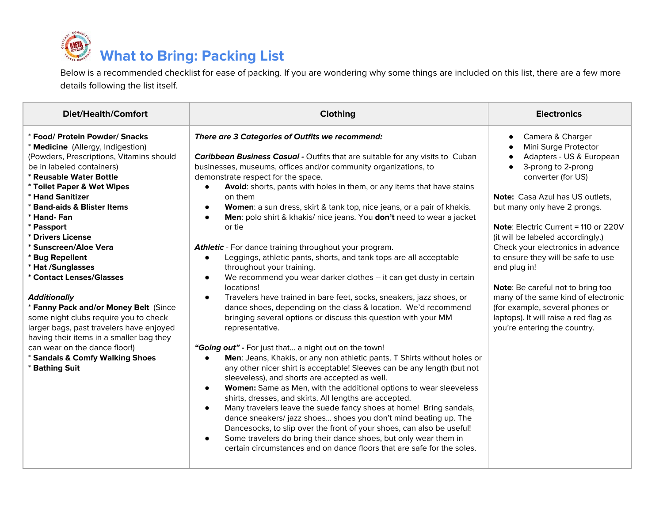# **What to Bring: Packing List**

Below is a recommended checklist for ease of packing. If you are wondering why some things are included on this list, there are a few more details following the list itself.

| <b>Diet/Health/Comfort</b>                                                                                                                                                                                                                                                                                                                                                                                                                                              | Clothing                                                                                                                                                                                                                                                                                                                                                                                                                                                                                                                           | <b>Electronics</b>                                                                                                                                                                                                                                                                                       |
|-------------------------------------------------------------------------------------------------------------------------------------------------------------------------------------------------------------------------------------------------------------------------------------------------------------------------------------------------------------------------------------------------------------------------------------------------------------------------|------------------------------------------------------------------------------------------------------------------------------------------------------------------------------------------------------------------------------------------------------------------------------------------------------------------------------------------------------------------------------------------------------------------------------------------------------------------------------------------------------------------------------------|----------------------------------------------------------------------------------------------------------------------------------------------------------------------------------------------------------------------------------------------------------------------------------------------------------|
| * Food/ Protein Powder/ Snacks<br>* Medicine (Allergy, Indigestion)<br>(Powders, Prescriptions, Vitamins should<br>be in labeled containers)<br>* Reusable Water Bottle<br>* Toilet Paper & Wet Wipes<br>* Hand Sanitizer<br>* Band-aids & Blister Items<br>* Hand- Fan<br>* Passport<br>* Drivers License<br>* Sunscreen/Aloe Vera<br>* Bug Repellent<br>* Hat /Sunglasses<br>* Contact Lenses/Glasses<br><b>Additionally</b><br>* Fanny Pack and/or Money Belt (Since | There are 3 Categories of Outfits we recommend:<br>Caribbean Business Casual - Outfits that are suitable for any visits to Cuban<br>businesses, museums, offices and/or community organizations, to<br>demonstrate respect for the space.<br>Avoid: shorts, pants with holes in them, or any items that have stains<br>$\bullet$<br>on them<br>Women: a sun dress, skirt & tank top, nice jeans, or a pair of khakis.<br>$\bullet$<br>Men: polo shirt & khakis/ nice jeans. You don't need to wear a jacket<br>$\bullet$<br>or tie | Camera & Charger<br>$\bullet$<br>Mini Surge Protector<br>Adapters - US & European<br>3-prong to 2-prong<br>$\bullet$<br>converter (for US)<br><b>Note:</b> Casa Azul has US outlets.<br>but many only have 2 prongs.<br><b>Note:</b> Electric Current = 110 or 220V<br>(it will be labeled accordingly.) |
|                                                                                                                                                                                                                                                                                                                                                                                                                                                                         | Athletic - For dance training throughout your program.<br>Leggings, athletic pants, shorts, and tank tops are all acceptable<br>$\bullet$<br>throughout your training.<br>We recommend you wear darker clothes -- it can get dusty in certain<br>$\bullet$<br>locations!<br>Travelers have trained in bare feet, socks, sneakers, jazz shoes, or<br>$\bullet$<br>dance shoes, depending on the class & location. We'd recommend                                                                                                    | Check your electronics in advance<br>to ensure they will be safe to use<br>and plug in!<br>Note: Be careful not to bring too<br>many of the same kind of electronic<br>(for example, several phones or                                                                                                   |
| some night clubs require you to check<br>larger bags, past travelers have enjoyed<br>having their items in a smaller bag they<br>can wear on the dance floor!)<br>* Sandals & Comfy Walking Shoes<br>* Bathing Suit                                                                                                                                                                                                                                                     | bringing several options or discuss this question with your MM<br>representative.<br>"Going out" - For just that a night out on the town!<br>Men: Jeans, Khakis, or any non athletic pants. T Shirts without holes or<br>$\bullet$<br>any other nicer shirt is acceptable! Sleeves can be any length (but not<br>sleeveless), and shorts are accepted as well.<br>Women: Same as Men, with the additional options to wear sleeveless<br>$\bullet$<br>shirts, dresses, and skirts. All lengths are accepted.                        | laptops). It will raise a red flag as<br>you're entering the country.                                                                                                                                                                                                                                    |
|                                                                                                                                                                                                                                                                                                                                                                                                                                                                         | Many travelers leave the suede fancy shoes at home! Bring sandals,<br>$\bullet$<br>dance sneakers/jazz shoes shoes you don't mind beating up. The<br>Dancesocks, to slip over the front of your shoes, can also be useful!<br>Some travelers do bring their dance shoes, but only wear them in<br>$\bullet$<br>certain circumstances and on dance floors that are safe for the soles.                                                                                                                                              |                                                                                                                                                                                                                                                                                                          |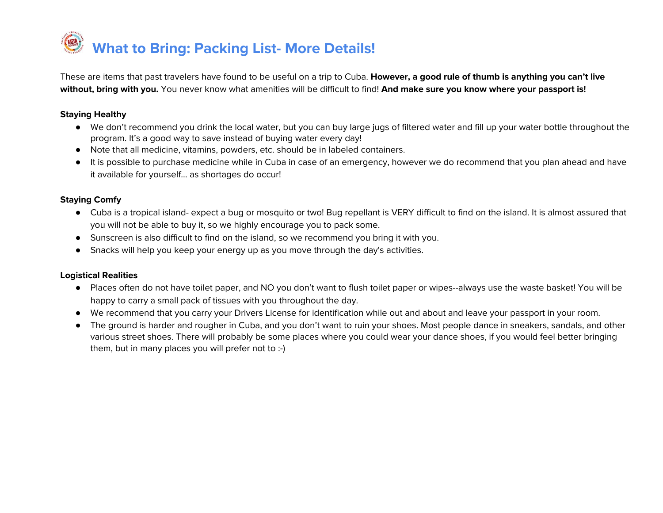**What to Bring: Packing List- More Details!**

These are items that past travelers have found to be useful on a trip to Cuba. **However, a good rule of thumb is anything you can't live without, bring with you.** You never know what amenities will be difficult to find! **And make sure you know where your passport is!**

#### **Staying Healthy**

- We don't recommend you drink the local water, but you can buy large jugs of filtered water and fill up your water bottle throughout the program. It's a good way to save instead of buying water every day!
- Note that all medicine, vitamins, powders, etc. should be in labeled containers.
- It is possible to purchase medicine while in Cuba in case of an emergency, however we do recommend that you plan ahead and have it available for yourself… as shortages do occur!

#### **Staying Comfy**

- Cuba is a tropical island- expect a bug or mosquito or two! Bug repellant is VERY difficult to find on the island. It is almost assured that you will not be able to buy it, so we highly encourage you to pack some.
- Sunscreen is also difficult to find on the island, so we recommend you bring it with you.
- Snacks will help you keep your energy up as you move through the day's activities.

#### **Logistical Realities**

- Places often do not have toilet paper, and NO you don't want to flush toilet paper or wipes--always use the waste basket! You will be happy to carry a small pack of tissues with you throughout the day.
- We recommend that you carry your Drivers License for identification while out and about and leave your passport in your room.
- The ground is harder and rougher in Cuba, and you don't want to ruin your shoes. Most people dance in sneakers, sandals, and other various street shoes. There will probably be some places where you could wear your dance shoes, if you would feel better bringing them, but in many places you will prefer not to :-)